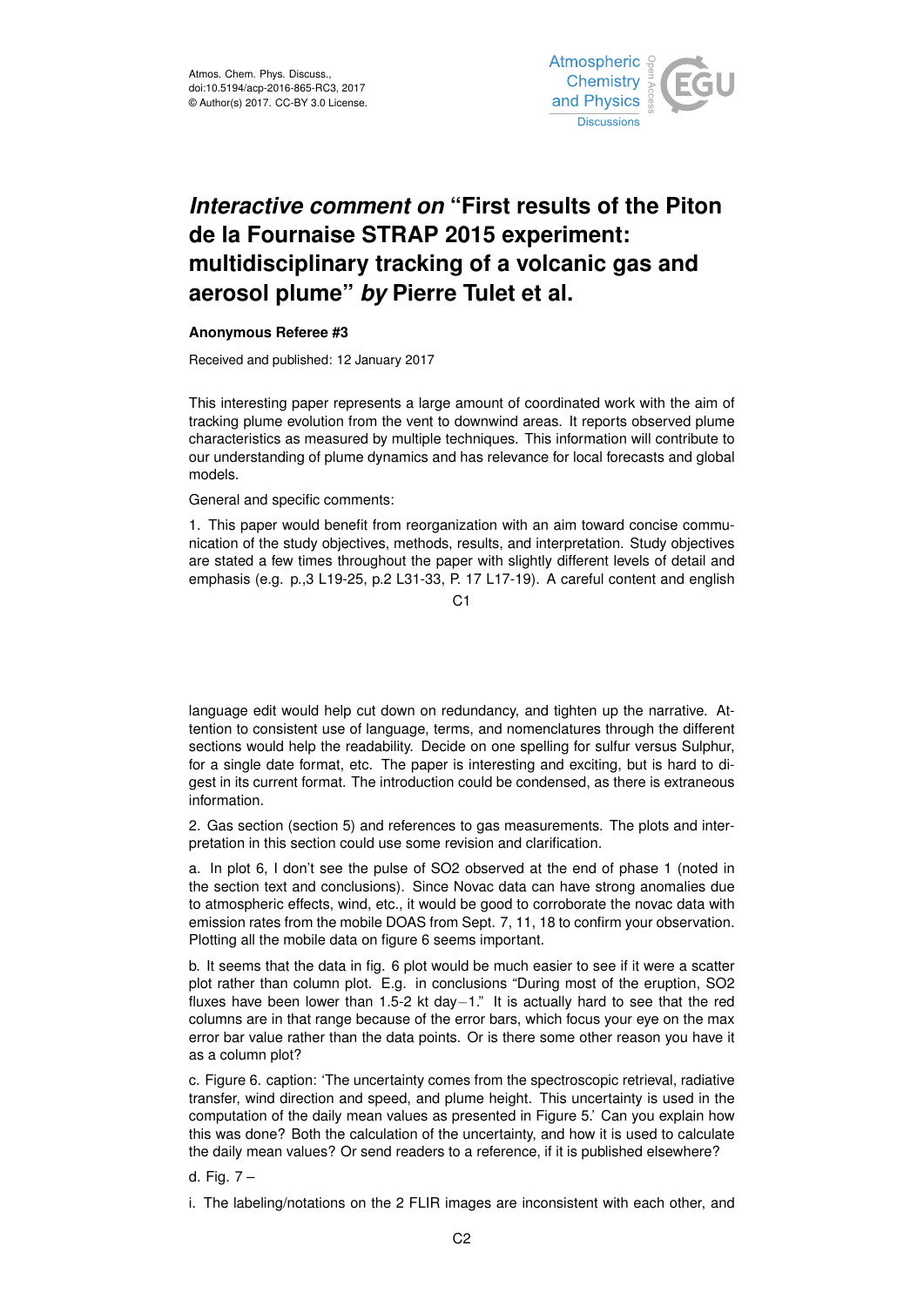

## *Interactive comment on* **"First results of the Piton de la Fournaise STRAP 2015 experiment: multidisciplinary tracking of a volcanic gas and aerosol plume"** *by* **Pierre Tulet et al.**

## **Anonymous Referee #3**

Received and published: 12 January 2017

This interesting paper represents a large amount of coordinated work with the aim of tracking plume evolution from the vent to downwind areas. It reports observed plume characteristics as measured by multiple techniques. This information will contribute to our understanding of plume dynamics and has relevance for local forecasts and global models.

General and specific comments:

1. This paper would benefit from reorganization with an aim toward concise communication of the study objectives, methods, results, and interpretation. Study objectives are stated a few times throughout the paper with slightly different levels of detail and emphasis (e.g. p.,3 L19-25, p.2 L31-33, P. 17 L17-19). A careful content and english

 $C<sub>1</sub>$ 

language edit would help cut down on redundancy, and tighten up the narrative. Attention to consistent use of language, terms, and nomenclatures through the different sections would help the readability. Decide on one spelling for sulfur versus Sulphur, for a single date format, etc. The paper is interesting and exciting, but is hard to digest in its current format. The introduction could be condensed, as there is extraneous information.

2. Gas section (section 5) and references to gas measurements. The plots and interpretation in this section could use some revision and clarification.

a. In plot 6, I don't see the pulse of SO2 observed at the end of phase 1 (noted in the section text and conclusions). Since Novac data can have strong anomalies due to atmospheric effects, wind, etc., it would be good to corroborate the novac data with emission rates from the mobile DOAS from Sept. 7, 11, 18 to confirm your observation. Plotting all the mobile data on figure 6 seems important.

b. It seems that the data in fig. 6 plot would be much easier to see if it were a scatter plot rather than column plot. E.g. in conclusions "During most of the eruption, SO2 fluxes have been lower than 1.5-2 kt day−1." It is actually hard to see that the red columns are in that range because of the error bars, which focus your eye on the max error bar value rather than the data points. Or is there some other reason you have it as a column plot?

c. Figure 6. caption: 'The uncertainty comes from the spectroscopic retrieval, radiative transfer, wind direction and speed, and plume height. This uncertainty is used in the computation of the daily mean values as presented in Figure 5.' Can you explain how this was done? Both the calculation of the uncertainty, and how it is used to calculate the daily mean values? Or send readers to a reference, if it is published elsewhere?

d. Fig. 7 –

i. The labeling/notations on the 2 FLIR images are inconsistent with each other, and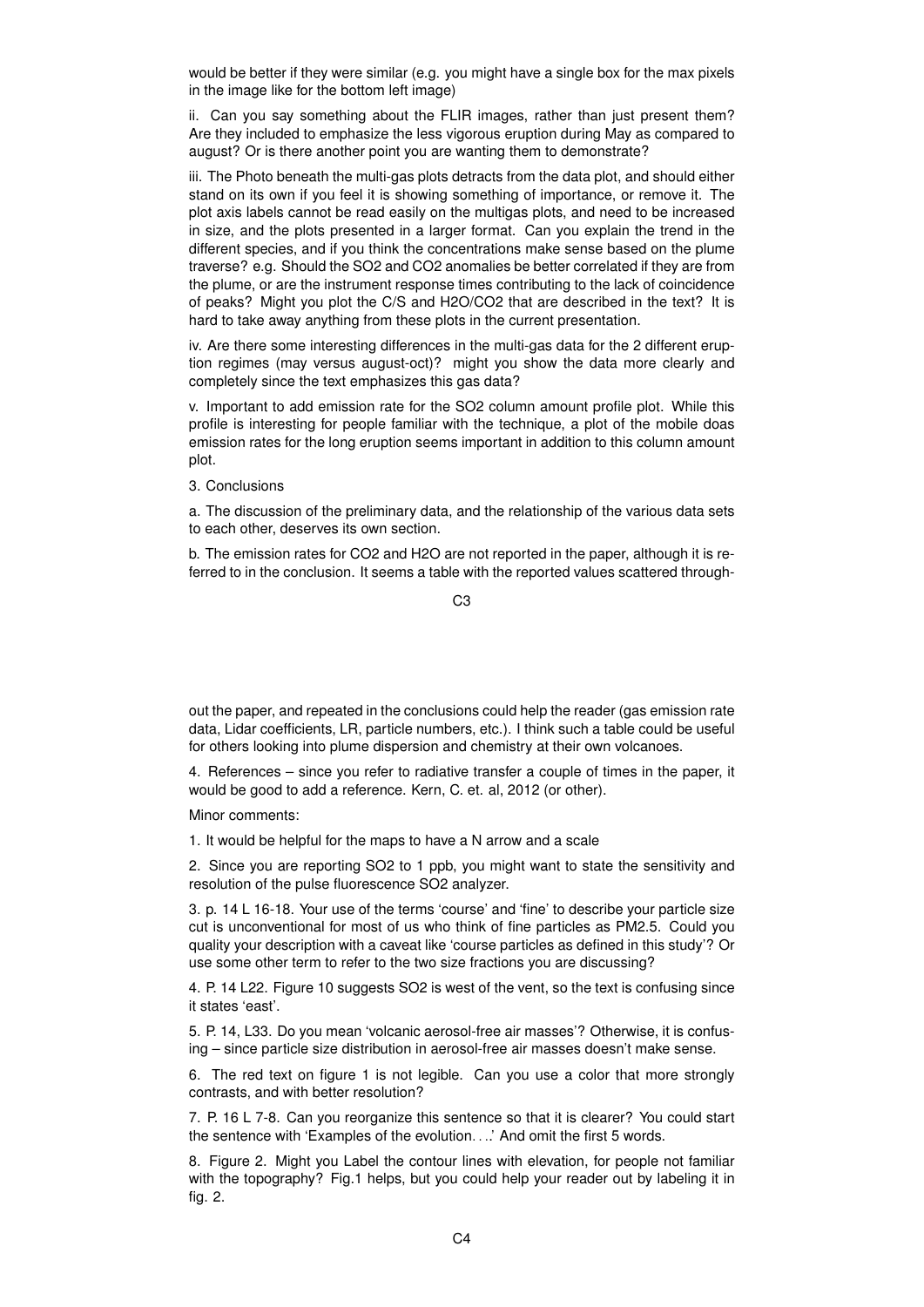would be better if they were similar (e.g. you might have a single box for the max pixels in the image like for the bottom left image)

ii. Can you say something about the FLIR images, rather than just present them? Are they included to emphasize the less vigorous eruption during May as compared to august? Or is there another point you are wanting them to demonstrate?

iii. The Photo beneath the multi-gas plots detracts from the data plot, and should either stand on its own if you feel it is showing something of importance, or remove it. The plot axis labels cannot be read easily on the multigas plots, and need to be increased in size, and the plots presented in a larger format. Can you explain the trend in the different species, and if you think the concentrations make sense based on the plume traverse? e.g. Should the SO2 and CO2 anomalies be better correlated if they are from the plume, or are the instrument response times contributing to the lack of coincidence of peaks? Might you plot the C/S and H2O/CO2 that are described in the text? It is hard to take away anything from these plots in the current presentation.

iv. Are there some interesting differences in the multi-gas data for the 2 different eruption regimes (may versus august-oct)? might you show the data more clearly and completely since the text emphasizes this gas data?

v. Important to add emission rate for the SO2 column amount profile plot. While this profile is interesting for people familiar with the technique, a plot of the mobile doas emission rates for the long eruption seems important in addition to this column amount plot.

3. Conclusions

a. The discussion of the preliminary data, and the relationship of the various data sets to each other, deserves its own section.

b. The emission rates for CO2 and H2O are not reported in the paper, although it is referred to in the conclusion. It seems a table with the reported values scattered through-

C3

out the paper, and repeated in the conclusions could help the reader (gas emission rate data, Lidar coefficients, LR, particle numbers, etc.). I think such a table could be useful for others looking into plume dispersion and chemistry at their own volcanoes.

4. References – since you refer to radiative transfer a couple of times in the paper, it would be good to add a reference. Kern, C. et. al, 2012 (or other).

Minor comments:

1. It would be helpful for the maps to have a N arrow and a scale

2. Since you are reporting SO2 to 1 ppb, you might want to state the sensitivity and resolution of the pulse fluorescence SO2 analyzer.

3. p. 14 L 16-18. Your use of the terms 'course' and 'fine' to describe your particle size cut is unconventional for most of us who think of fine particles as PM2.5. Could you quality your description with a caveat like 'course particles as defined in this study'? Or use some other term to refer to the two size fractions you are discussing?

4. P. 14 L22. Figure 10 suggests SO2 is west of the vent, so the text is confusing since it states 'east'.

5. P. 14, L33. Do you mean 'volcanic aerosol-free air masses'? Otherwise, it is confusing – since particle size distribution in aerosol-free air masses doesn't make sense.

6. The red text on figure 1 is not legible. Can you use a color that more strongly contrasts, and with better resolution?

7. P. 16 L 7-8. Can you reorganize this sentence so that it is clearer? You could start the sentence with 'Examples of the evolution. . ..' And omit the first 5 words.

8. Figure 2. Might you Label the contour lines with elevation, for people not familiar with the topography? Fig.1 helps, but you could help your reader out by labeling it in fig. 2.